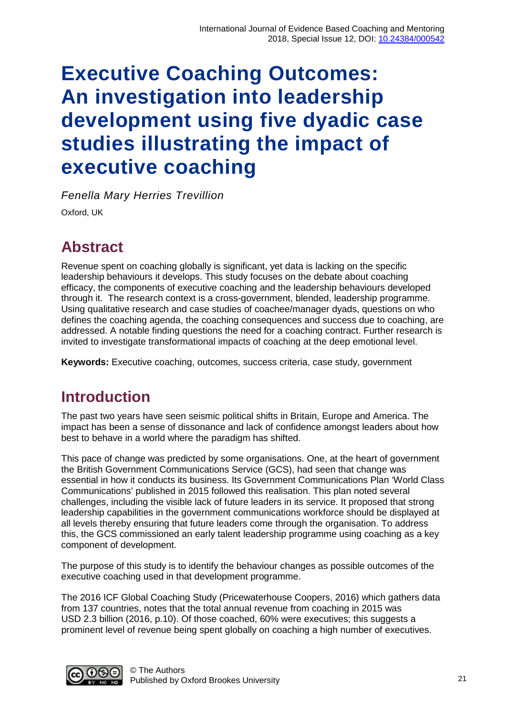# **Executive Coaching Outcomes: An investigation into leadership development using five dyadic case studies illustrating the impact of executive coaching**

*Fenella Mary Herries Trevillion*

Oxford, UK

### **Abstract**

Revenue spent on coaching globally is significant, yet data is lacking on the specific leadership behaviours it develops. This study focuses on the debate about coaching efficacy, the components of executive coaching and the leadership behaviours developed through it. The research context is a cross-government, blended, leadership programme. Using qualitative research and case studies of coachee/manager dyads, questions on who defines the coaching agenda, the coaching consequences and success due to coaching, are addressed. A notable finding questions the need for a coaching contract. Further research is invited to investigate transformational impacts of coaching at the deep emotional level.

**Keywords:** Executive coaching, outcomes, success criteria, case study, government

# **Introduction**

The past two years have seen seismic political shifts in Britain, Europe and America. The impact has been a sense of dissonance and lack of confidence amongst leaders about how best to behave in a world where the paradigm has shifted.

This pace of change was predicted by some organisations. One, at the heart of government the British Government Communications Service (GCS), had seen that change was essential in how it conducts its business. Its Government Communications Plan 'World Class Communications' published in 2015 followed this realisation. This plan noted several challenges, including the visible lack of future leaders in its service. It proposed that strong leadership capabilities in the government communications workforce should be displayed at all levels thereby ensuring that future leaders come through the organisation. To address this, the GCS commissioned an early talent leadership programme using coaching as a key component of development.

The purpose of this study is to identify the behaviour changes as possible outcomes of the executive coaching used in that development programme.

The 2016 ICF Global Coaching Study (Pricewaterhouse Coopers, 2016) which gathers data from 137 countries, notes that the total annual revenue from coaching in 2015 was USD 2.3 billion (2016, p.10). Of those coached, 60% were executives; this suggests a prominent level of revenue being spent globally on coaching a high number of executives.

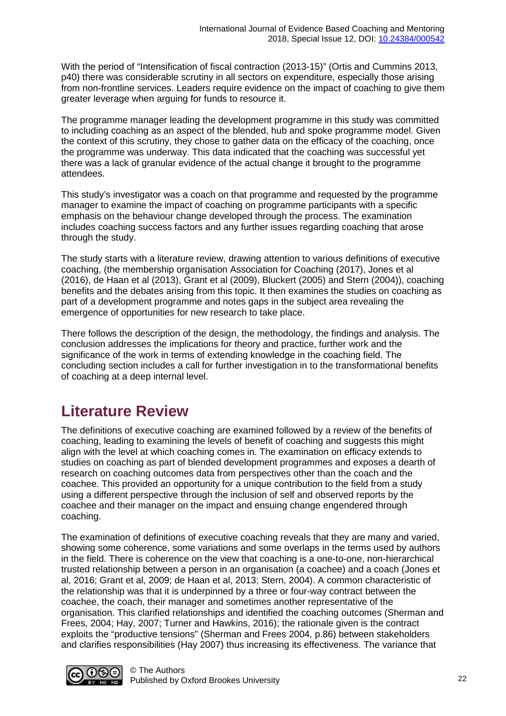With the period of "Intensification of fiscal contraction (2013-15)" (Ortis and Cummins 2013, p40) there was considerable scrutiny in all sectors on expenditure, especially those arising from non-frontline services. Leaders require evidence on the impact of coaching to give them greater leverage when arguing for funds to resource it.

The programme manager leading the development programme in this study was committed to including coaching as an aspect of the blended, hub and spoke programme model. Given the context of this scrutiny, they chose to gather data on the efficacy of the coaching, once the programme was underway. This data indicated that the coaching was successful yet there was a lack of granular evidence of the actual change it brought to the programme attendees.

This study's investigator was a coach on that programme and requested by the programme manager to examine the impact of coaching on programme participants with a specific emphasis on the behaviour change developed through the process. The examination includes coaching success factors and any further issues regarding coaching that arose through the study.

The study starts with a literature review, drawing attention to various definitions of executive coaching, (the membership organisation Association for Coaching (2017), Jones et al (2016), de Haan et al (2013), Grant et al (2009), Bluckert (2005) and Stern (2004)), coaching benefits and the debates arising from this topic. It then examines the studies on coaching as part of a development programme and notes gaps in the subject area revealing the emergence of opportunities for new research to take place.

There follows the description of the design, the methodology, the findings and analysis. The conclusion addresses the implications for theory and practice, further work and the significance of the work in terms of extending knowledge in the coaching field. The concluding section includes a call for further investigation in to the transformational benefits of coaching at a deep internal level.

### **Literature Review**

The definitions of executive coaching are examined followed by a review of the benefits of coaching, leading to examining the levels of benefit of coaching and suggests this might align with the level at which coaching comes in. The examination on efficacy extends to studies on coaching as part of blended development programmes and exposes a dearth of research on coaching outcomes data from perspectives other than the coach and the coachee. This provided an opportunity for a unique contribution to the field from a study using a different perspective through the inclusion of self and observed reports by the coachee and their manager on the impact and ensuing change engendered through coaching.

The examination of definitions of executive coaching reveals that they are many and varied, showing some coherence, some variations and some overlaps in the terms used by authors in the field. There is coherence on the view that coaching is a one-to-one, non-hierarchical trusted relationship between a person in an organisation (a coachee) and a coach (Jones et al, 2016; Grant et al, 2009; de Haan et al, 2013; Stern, 2004). A common characteristic of the relationship was that it is underpinned by a three or four-way contract between the coachee, the coach, their manager and sometimes another representative of the organisation. This clarified relationships and identified the coaching outcomes (Sherman and Frees, 2004; Hay, 2007; Turner and Hawkins, 2016); the rationale given is the contract exploits the "productive tensions" (Sherman and Frees 2004, p.86) between stakeholders and clarifies responsibilities (Hay 2007) thus increasing its effectiveness. The variance that

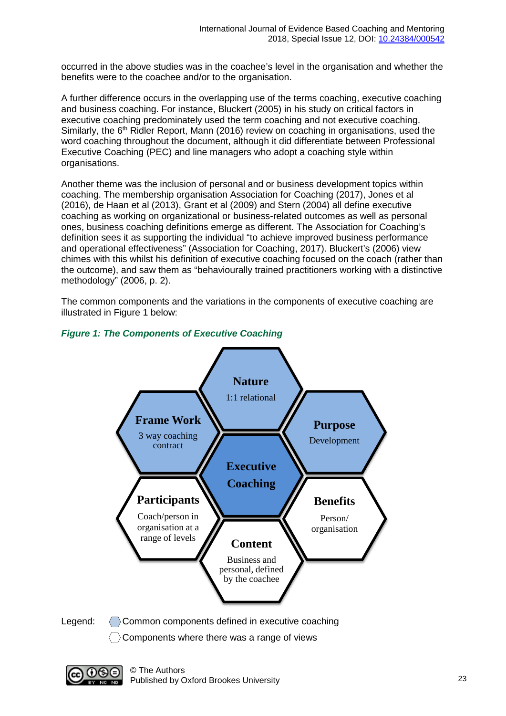occurred in the above studies was in the coachee's level in the organisation and whether the benefits were to the coachee and/or to the organisation.

A further difference occurs in the overlapping use of the terms coaching, executive coaching and business coaching. For instance, Bluckert (2005) in his study on critical factors in executive coaching predominately used the term coaching and not executive coaching. Similarly, the 6<sup>th</sup> Ridler Report, Mann (2016) review on coaching in organisations, used the word coaching throughout the document, although it did differentiate between Professional Executive Coaching (PEC) and line managers who adopt a coaching style within organisations.

Another theme was the inclusion of personal and or business development topics within coaching. The membership organisation Association for Coaching (2017), Jones et al (2016), de Haan et al (2013), Grant et al (2009) and Stern (2004) all define executive coaching as working on organizational or business-related outcomes as well as personal ones, business coaching definitions emerge as different. The Association for Coaching's definition sees it as supporting the individual "to achieve improved business performance and operational effectiveness" (Association for Coaching, 2017). Bluckert's (2006) view chimes with this whilst his definition of executive coaching focused on the coach (rather than the outcome), and saw them as "behaviourally trained practitioners working with a distinctive methodology" (2006, p. 2).

The common components and the variations in the components of executive coaching are illustrated in Figure 1 below:



#### *Figure 1: The Components of Executive Coaching*

Legend: Common components defined in executive coaching

 $\langle \rangle$  Components where there was a range of views

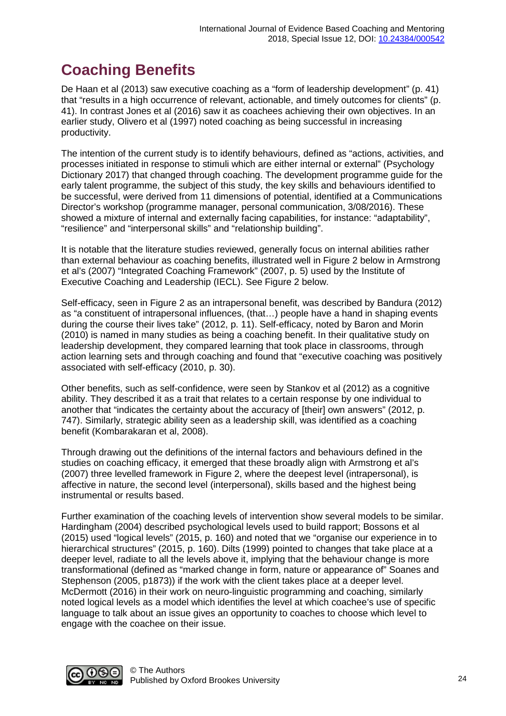# **Coaching Benefits**

De Haan et al (2013) saw executive coaching as a "form of leadership development" (p. 41) that "results in a high occurrence of relevant, actionable, and timely outcomes for clients" (p. 41). In contrast Jones et al (2016) saw it as coachees achieving their own objectives. In an earlier study, Olivero et al (1997) noted coaching as being successful in increasing productivity.

The intention of the current study is to identify behaviours, defined as "actions, activities, and processes initiated in response to stimuli which are either internal or external" (Psychology Dictionary 2017) that changed through coaching. The development programme guide for the early talent programme, the subject of this study, the key skills and behaviours identified to be successful, were derived from 11 dimensions of potential, identified at a Communications Director's workshop (programme manager, personal communication, 3/08/2016). These showed a mixture of internal and externally facing capabilities, for instance: "adaptability", "resilience" and "interpersonal skills" and "relationship building".

It is notable that the literature studies reviewed, generally focus on internal abilities rather than external behaviour as coaching benefits, illustrated well in Figure 2 below in Armstrong et al's (2007) "Integrated Coaching Framework" (2007, p. 5) used by the Institute of Executive Coaching and Leadership (IECL). See Figure 2 below.

Self-efficacy, seen in Figure 2 as an intrapersonal benefit, was described by Bandura (2012) as "a constituent of intrapersonal influences, (that…) people have a hand in shaping events during the course their lives take" (2012, p. 11). Self-efficacy, noted by Baron and Morin (2010) is named in many studies as being a coaching benefit. In their qualitative study on leadership development, they compared learning that took place in classrooms, through action learning sets and through coaching and found that "executive coaching was positively associated with self-efficacy (2010, p. 30).

Other benefits, such as self-confidence, were seen by Stankov et al (2012) as a cognitive ability. They described it as a trait that relates to a certain response by one individual to another that "indicates the certainty about the accuracy of [their] own answers" (2012, p. 747). Similarly, strategic ability seen as a leadership skill, was identified as a coaching benefit (Kombarakaran et al, 2008).

Through drawing out the definitions of the internal factors and behaviours defined in the studies on coaching efficacy, it emerged that these broadly align with Armstrong et al's (2007) three levelled framework in Figure 2, where the deepest level (intrapersonal), is affective in nature, the second level (interpersonal), skills based and the highest being instrumental or results based.

Further examination of the coaching levels of intervention show several models to be similar. Hardingham (2004) described psychological levels used to build rapport; Bossons et al (2015) used "logical levels" (2015, p. 160) and noted that we "organise our experience in to hierarchical structures" (2015, p. 160). Dilts (1999) pointed to changes that take place at a deeper level, radiate to all the levels above it, implying that the behaviour change is more transformational (defined as "marked change in form, nature or appearance of" Soanes and Stephenson (2005, p1873)) if the work with the client takes place at a deeper level. McDermott (2016) in their work on neuro-linguistic programming and coaching, similarly noted logical levels as a model which identifies the level at which coachee's use of specific language to talk about an issue gives an opportunity to coaches to choose which level to engage with the coachee on their issue.

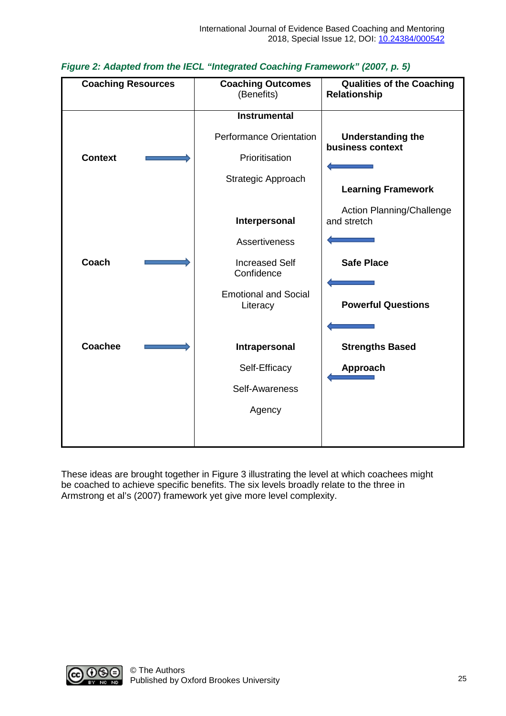| <b>Coaching Resources</b> |  | <b>Coaching Outcomes</b><br>(Benefits)  | <b>Qualities of the Coaching</b><br>Relationship |
|---------------------------|--|-----------------------------------------|--------------------------------------------------|
|                           |  | <b>Instrumental</b>                     |                                                  |
|                           |  | Performance Orientation                 | <b>Understanding the</b><br>business context     |
| <b>Context</b>            |  | Prioritisation                          |                                                  |
|                           |  | Strategic Approach                      | <b>Learning Framework</b>                        |
|                           |  | Interpersonal                           | Action Planning/Challenge<br>and stretch         |
|                           |  | <b>Assertiveness</b>                    |                                                  |
| Coach                     |  | <b>Increased Self</b><br>Confidence     | <b>Safe Place</b>                                |
|                           |  | <b>Emotional and Social</b><br>Literacy | <b>Powerful Questions</b>                        |
|                           |  |                                         |                                                  |
| <b>Coachee</b>            |  | Intrapersonal                           | <b>Strengths Based</b>                           |
|                           |  | Self-Efficacy                           | Approach                                         |
|                           |  | Self-Awareness                          |                                                  |
|                           |  | Agency                                  |                                                  |
|                           |  |                                         |                                                  |

#### *Figure 2: Adapted from the IECL "Integrated Coaching Framework" (2007, p. 5)*

These ideas are brought together in Figure 3 illustrating the level at which coachees might be coached to achieve specific benefits. The six levels broadly relate to the three in Armstrong et al's (2007) framework yet give more level complexity.

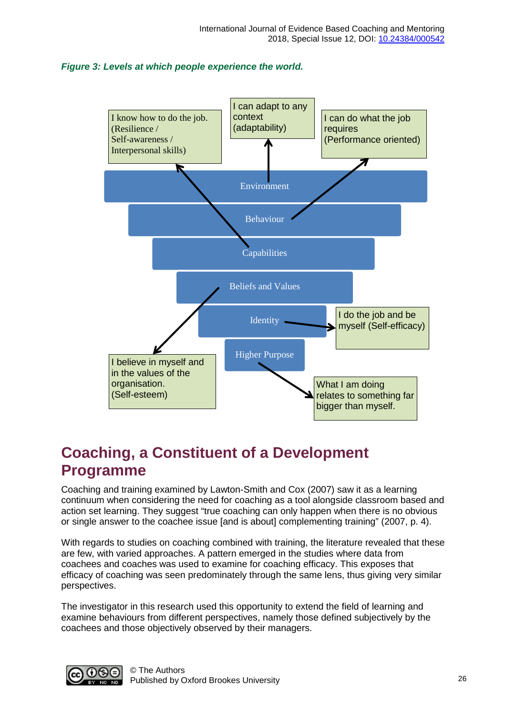#### *Figure 3: Levels at which people experience the world.*



### **Coaching, a Constituent of a Development Programme**

Coaching and training examined by Lawton-Smith and Cox (2007) saw it as a learning continuum when considering the need for coaching as a tool alongside classroom based and action set learning. They suggest "true coaching can only happen when there is no obvious or single answer to the coachee issue [and is about] complementing training" (2007, p. 4).

With regards to studies on coaching combined with training, the literature revealed that these are few, with varied approaches. A pattern emerged in the studies where data from coachees and coaches was used to examine for coaching efficacy. This exposes that efficacy of coaching was seen predominately through the same lens, thus giving very similar perspectives.

The investigator in this research used this opportunity to extend the field of learning and examine behaviours from different perspectives, namely those defined subjectively by the coachees and those objectively observed by their managers.

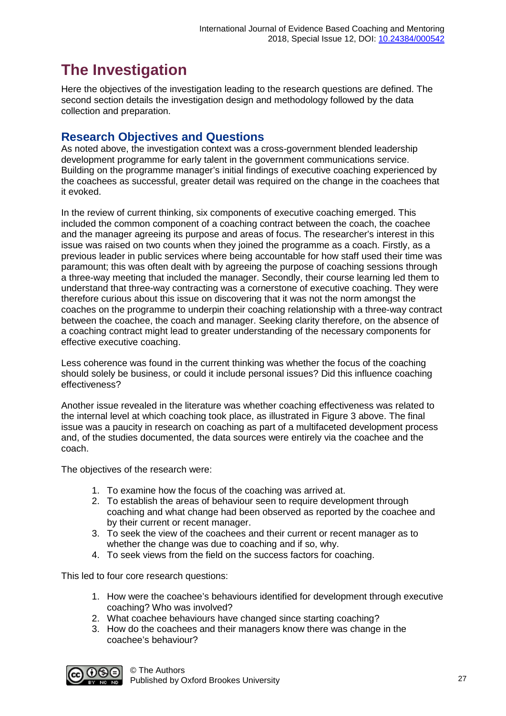# **The Investigation**

Here the objectives of the investigation leading to the research questions are defined. The second section details the investigation design and methodology followed by the data collection and preparation.

#### **Research Objectives and Questions**

As noted above, the investigation context was a cross-government blended leadership development programme for early talent in the government communications service. Building on the programme manager's initial findings of executive coaching experienced by the coachees as successful, greater detail was required on the change in the coachees that it evoked.

In the review of current thinking, six components of executive coaching emerged. This included the common component of a coaching contract between the coach, the coachee and the manager agreeing its purpose and areas of focus. The researcher's interest in this issue was raised on two counts when they joined the programme as a coach. Firstly, as a previous leader in public services where being accountable for how staff used their time was paramount; this was often dealt with by agreeing the purpose of coaching sessions through a three-way meeting that included the manager. Secondly, their course learning led them to understand that three-way contracting was a cornerstone of executive coaching. They were therefore curious about this issue on discovering that it was not the norm amongst the coaches on the programme to underpin their coaching relationship with a three-way contract between the coachee, the coach and manager. Seeking clarity therefore, on the absence of a coaching contract might lead to greater understanding of the necessary components for effective executive coaching.

Less coherence was found in the current thinking was whether the focus of the coaching should solely be business, or could it include personal issues? Did this influence coaching effectiveness?

Another issue revealed in the literature was whether coaching effectiveness was related to the internal level at which coaching took place, as illustrated in Figure 3 above. The final issue was a paucity in research on coaching as part of a multifaceted development process and, of the studies documented, the data sources were entirely via the coachee and the coach.

The objectives of the research were:

- 1. To examine how the focus of the coaching was arrived at.
- 2. To establish the areas of behaviour seen to require development through coaching and what change had been observed as reported by the coachee and by their current or recent manager.
- 3. To seek the view of the coachees and their current or recent manager as to whether the change was due to coaching and if so, why.
- 4. To seek views from the field on the success factors for coaching.

This led to four core research questions:

- 1. How were the coachee's behaviours identified for development through executive coaching? Who was involved?
- 2. What coachee behaviours have changed since starting coaching?
- 3. How do the coachees and their managers know there was change in the coachee's behaviour?

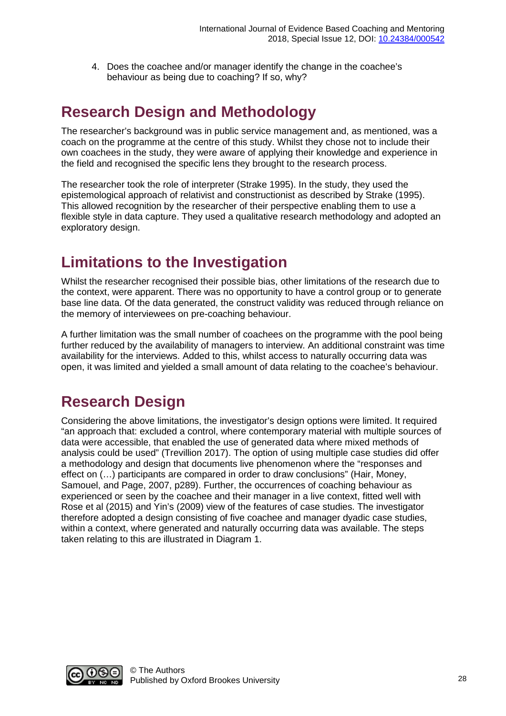4. Does the coachee and/or manager identify the change in the coachee's behaviour as being due to coaching? If so, why?

# **Research Design and Methodology**

The researcher's background was in public service management and, as mentioned, was a coach on the programme at the centre of this study. Whilst they chose not to include their own coachees in the study, they were aware of applying their knowledge and experience in the field and recognised the specific lens they brought to the research process.

The researcher took the role of interpreter (Strake 1995). In the study, they used the epistemological approach of relativist and constructionist as described by Strake (1995). This allowed recognition by the researcher of their perspective enabling them to use a flexible style in data capture. They used a qualitative research methodology and adopted an exploratory design.

# **Limitations to the Investigation**

Whilst the researcher recognised their possible bias, other limitations of the research due to the context, were apparent. There was no opportunity to have a control group or to generate base line data. Of the data generated, the construct validity was reduced through reliance on the memory of interviewees on pre-coaching behaviour.

A further limitation was the small number of coachees on the programme with the pool being further reduced by the availability of managers to interview. An additional constraint was time availability for the interviews. Added to this, whilst access to naturally occurring data was open, it was limited and yielded a small amount of data relating to the coachee's behaviour.

# **Research Design**

Considering the above limitations, the investigator's design options were limited. It required "an approach that: excluded a control, where contemporary material with multiple sources of data were accessible, that enabled the use of generated data where mixed methods of analysis could be used" (Trevillion 2017). The option of using multiple case studies did offer a methodology and design that documents live phenomenon where the "responses and effect on (…) participants are compared in order to draw conclusions" (Hair, Money, Samouel, and Page, 2007, p289). Further, the occurrences of coaching behaviour as experienced or seen by the coachee and their manager in a live context, fitted well with Rose et al (2015) and Yin's (2009) view of the features of case studies. The investigator therefore adopted a design consisting of five coachee and manager dyadic case studies, within a context, where generated and naturally occurring data was available. The steps taken relating to this are illustrated in Diagram 1.

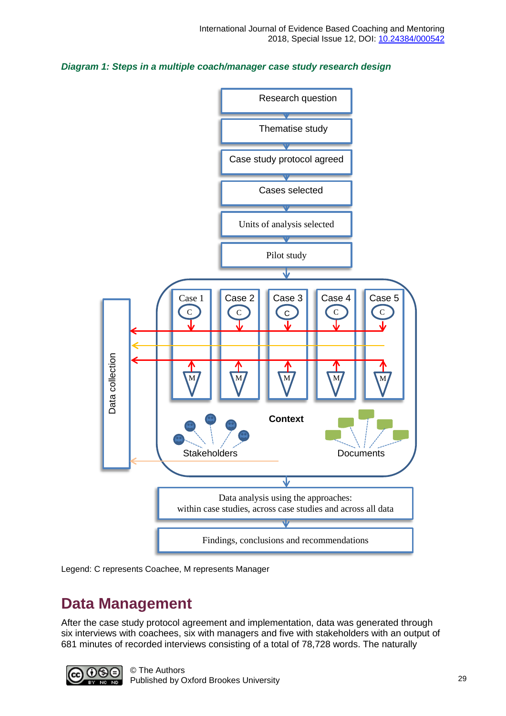





### **Data Management**

After the case study protocol agreement and implementation, data was generated through six interviews with coachees, six with managers and five with stakeholders with an output of 681 minutes of recorded interviews consisting of a total of 78,728 words. The naturally

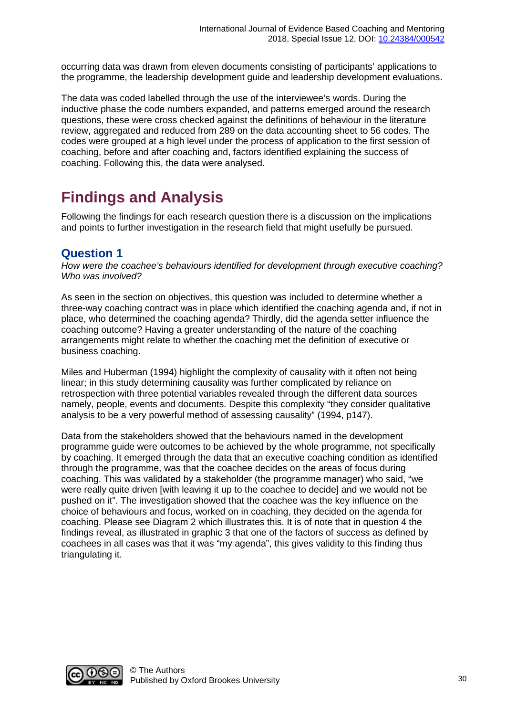occurring data was drawn from eleven documents consisting of participants' applications to the programme, the leadership development guide and leadership development evaluations.

The data was coded labelled through the use of the interviewee's words. During the inductive phase the code numbers expanded, and patterns emerged around the research questions, these were cross checked against the definitions of behaviour in the literature review, aggregated and reduced from 289 on the data accounting sheet to 56 codes. The codes were grouped at a high level under the process of application to the first session of coaching, before and after coaching and, factors identified explaining the success of coaching. Following this, the data were analysed.

# **Findings and Analysis**

Following the findings for each research question there is a discussion on the implications and points to further investigation in the research field that might usefully be pursued.

#### **Question 1**

*How were the coachee's behaviours identified for development through executive coaching? Who was involved?*

As seen in the section on objectives, this question was included to determine whether a three-way coaching contract was in place which identified the coaching agenda and, if not in place, who determined the coaching agenda? Thirdly, did the agenda setter influence the coaching outcome? Having a greater understanding of the nature of the coaching arrangements might relate to whether the coaching met the definition of executive or business coaching.

Miles and Huberman (1994) highlight the complexity of causality with it often not being linear; in this study determining causality was further complicated by reliance on retrospection with three potential variables revealed through the different data sources namely, people, events and documents. Despite this complexity "they consider qualitative analysis to be a very powerful method of assessing causality" (1994, p147).

Data from the stakeholders showed that the behaviours named in the development programme guide were outcomes to be achieved by the whole programme, not specifically by coaching. It emerged through the data that an executive coaching condition as identified through the programme, was that the coachee decides on the areas of focus during coaching. This was validated by a stakeholder (the programme manager) who said, "we were really quite driven [with leaving it up to the coachee to decide] and we would not be pushed on it". The investigation showed that the coachee was the key influence on the choice of behaviours and focus, worked on in coaching, they decided on the agenda for coaching. Please see Diagram 2 which illustrates this. It is of note that in question 4 the findings reveal, as illustrated in graphic 3 that one of the factors of success as defined by coachees in all cases was that it was "my agenda", this gives validity to this finding thus triangulating it.

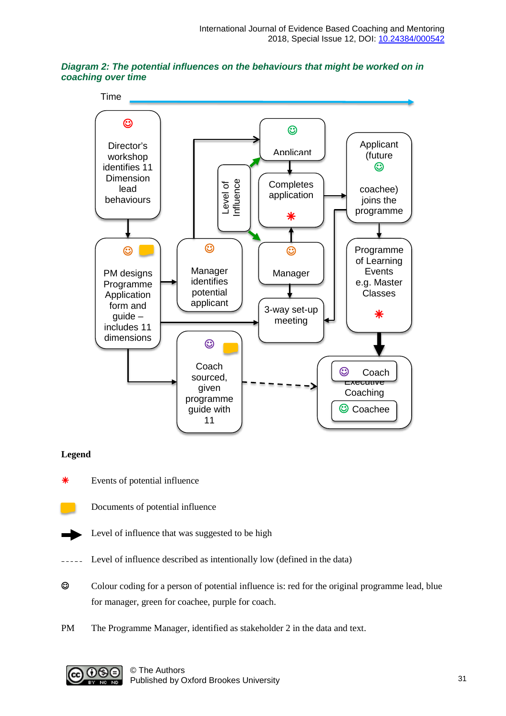



#### **Legend**

Events of potential influence



Documents of potential influence



- Level of influence that was suggested to be high
- Level of influence described as intentionally low (defined in the data)
- Colour coding for a person of potential influence is: red for the original programme lead, blue for manager, green for coachee, purple for coach.
- PM The Programme Manager, identified as stakeholder 2 in the data and text.

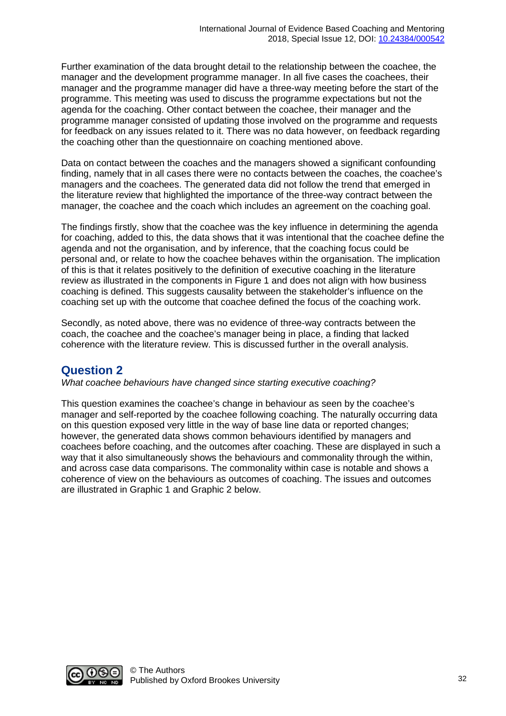Further examination of the data brought detail to the relationship between the coachee, the manager and the development programme manager. In all five cases the coachees, their manager and the programme manager did have a three-way meeting before the start of the programme. This meeting was used to discuss the programme expectations but not the agenda for the coaching. Other contact between the coachee, their manager and the programme manager consisted of updating those involved on the programme and requests for feedback on any issues related to it. There was no data however, on feedback regarding the coaching other than the questionnaire on coaching mentioned above.

Data on contact between the coaches and the managers showed a significant confounding finding, namely that in all cases there were no contacts between the coaches, the coachee's managers and the coachees. The generated data did not follow the trend that emerged in the literature review that highlighted the importance of the three-way contract between the manager, the coachee and the coach which includes an agreement on the coaching goal.

The findings firstly, show that the coachee was the key influence in determining the agenda for coaching, added to this, the data shows that it was intentional that the coachee define the agenda and not the organisation, and by inference, that the coaching focus could be personal and, or relate to how the coachee behaves within the organisation. The implication of this is that it relates positively to the definition of executive coaching in the literature review as illustrated in the components in Figure 1 and does not align with how business coaching is defined. This suggests causality between the stakeholder's influence on the coaching set up with the outcome that coachee defined the focus of the coaching work.

Secondly, as noted above, there was no evidence of three-way contracts between the coach, the coachee and the coachee's manager being in place, a finding that lacked coherence with the literature review. This is discussed further in the overall analysis.

#### **Question 2**

*What coachee behaviours have changed since starting executive coaching?*

This question examines the coachee's change in behaviour as seen by the coachee's manager and self-reported by the coachee following coaching. The naturally occurring data on this question exposed very little in the way of base line data or reported changes; however, the generated data shows common behaviours identified by managers and coachees before coaching, and the outcomes after coaching. These are displayed in such a way that it also simultaneously shows the behaviours and commonality through the within, and across case data comparisons. The commonality within case is notable and shows a coherence of view on the behaviours as outcomes of coaching. The issues and outcomes are illustrated in Graphic 1 and Graphic 2 below.

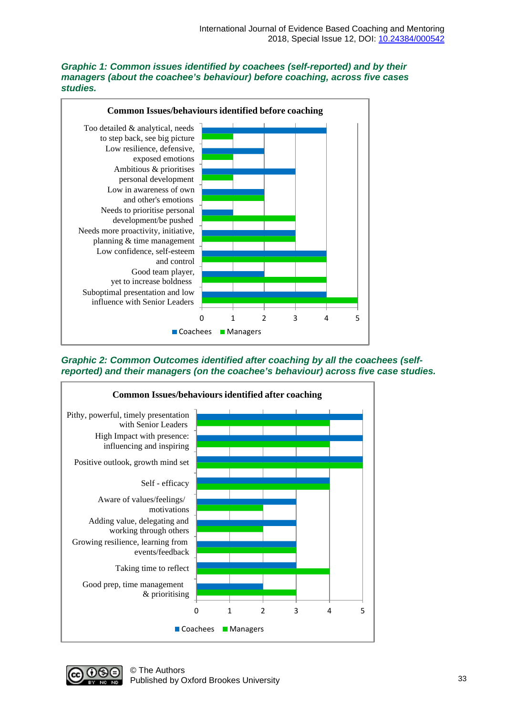#### *Graphic 1: Common issues identified by coachees (self-reported) and by their managers (about the coachee's behaviour) before coaching, across five cases studies.*



*Graphic 2: Common Outcomes identified after coaching by all the coachees (selfreported) and their managers (on the coachee's behaviour) across five case studies.*



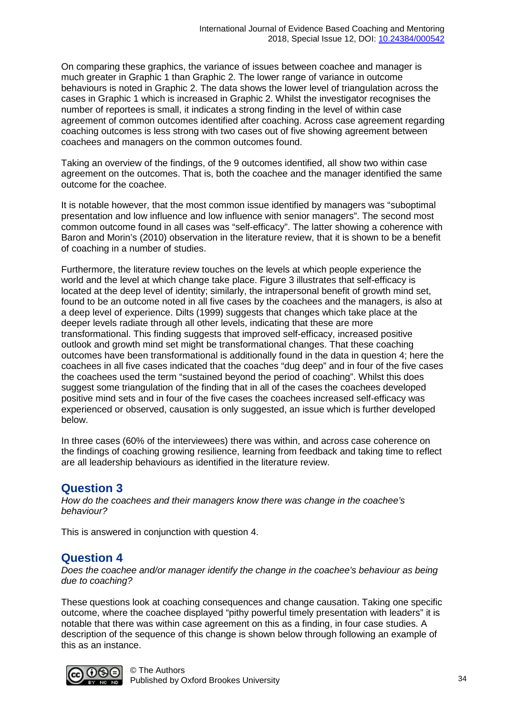On comparing these graphics, the variance of issues between coachee and manager is much greater in Graphic 1 than Graphic 2. The lower range of variance in outcome behaviours is noted in Graphic 2. The data shows the lower level of triangulation across the cases in Graphic 1 which is increased in Graphic 2. Whilst the investigator recognises the number of reportees is small, it indicates a strong finding in the level of within case agreement of common outcomes identified after coaching. Across case agreement regarding coaching outcomes is less strong with two cases out of five showing agreement between coachees and managers on the common outcomes found.

Taking an overview of the findings, of the 9 outcomes identified, all show two within case agreement on the outcomes. That is, both the coachee and the manager identified the same outcome for the coachee.

It is notable however, that the most common issue identified by managers was "suboptimal presentation and low influence and low influence with senior managers". The second most common outcome found in all cases was "self-efficacy". The latter showing a coherence with Baron and Morin's (2010) observation in the literature review, that it is shown to be a benefit of coaching in a number of studies.

Furthermore, the literature review touches on the levels at which people experience the world and the level at which change take place. Figure 3 illustrates that self-efficacy is located at the deep level of identity; similarly, the intrapersonal benefit of growth mind set, found to be an outcome noted in all five cases by the coachees and the managers, is also at a deep level of experience. Dilts (1999) suggests that changes which take place at the deeper levels radiate through all other levels, indicating that these are more transformational. This finding suggests that improved self-efficacy, increased positive outlook and growth mind set might be transformational changes. That these coaching outcomes have been transformational is additionally found in the data in question 4; here the coachees in all five cases indicated that the coaches "dug deep" and in four of the five cases the coachees used the term "sustained beyond the period of coaching". Whilst this does suggest some triangulation of the finding that in all of the cases the coachees developed positive mind sets and in four of the five cases the coachees increased self-efficacy was experienced or observed, causation is only suggested, an issue which is further developed below.

In three cases (60% of the interviewees) there was within, and across case coherence on the findings of coaching growing resilience, learning from feedback and taking time to reflect are all leadership behaviours as identified in the literature review.

#### **Question 3**

*How do the coachees and their managers know there was change in the coachee's behaviour?*

This is answered in conjunction with question 4.

#### **Question 4**

*Does the coachee and/or manager identify the change in the coachee's behaviour as being due to coaching?* 

These questions look at coaching consequences and change causation. Taking one specific outcome, where the coachee displayed "pithy powerful timely presentation with leaders" it is notable that there was within case agreement on this as a finding, in four case studies. A description of the sequence of this change is shown below through following an example of this as an instance.

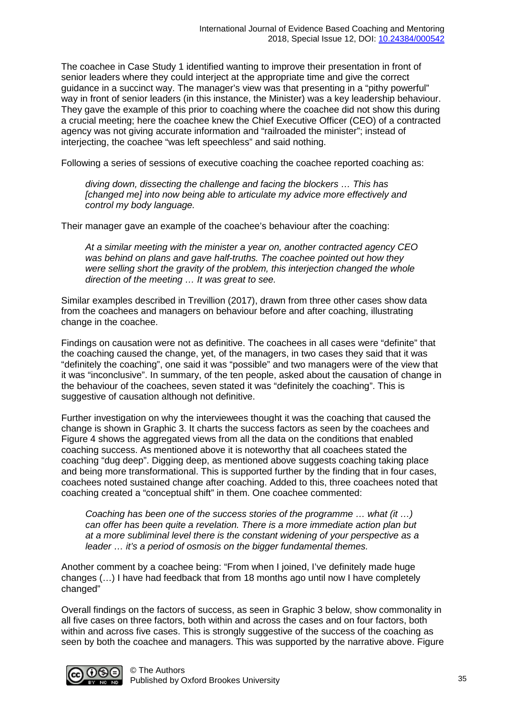The coachee in Case Study 1 identified wanting to improve their presentation in front of senior leaders where they could interject at the appropriate time and give the correct guidance in a succinct way. The manager's view was that presenting in a "pithy powerful" way in front of senior leaders (in this instance, the Minister) was a key leadership behaviour. They gave the example of this prior to coaching where the coachee did not show this during a crucial meeting; here the coachee knew the Chief Executive Officer (CEO) of a contracted agency was not giving accurate information and "railroaded the minister"; instead of interjecting, the coachee "was left speechless" and said nothing.

Following a series of sessions of executive coaching the coachee reported coaching as:

*diving down, dissecting the challenge and facing the blockers … This has [changed me] into now being able to articulate my advice more effectively and control my body language.*

Their manager gave an example of the coachee's behaviour after the coaching:

*At a similar meeting with the minister a year on, another contracted agency CEO was behind on plans and gave half-truths. The coachee pointed out how they were selling short the gravity of the problem, this interjection changed the whole direction of the meeting … It was great to see.*

Similar examples described in Trevillion (2017), drawn from three other cases show data from the coachees and managers on behaviour before and after coaching, illustrating change in the coachee.

Findings on causation were not as definitive. The coachees in all cases were "definite" that the coaching caused the change, yet, of the managers, in two cases they said that it was "definitely the coaching", one said it was "possible" and two managers were of the view that it was "inconclusive". In summary, of the ten people, asked about the causation of change in the behaviour of the coachees, seven stated it was "definitely the coaching". This is suggestive of causation although not definitive.

Further investigation on why the interviewees thought it was the coaching that caused the change is shown in Graphic 3. It charts the success factors as seen by the coachees and Figure 4 shows the aggregated views from all the data on the conditions that enabled coaching success. As mentioned above it is noteworthy that all coachees stated the coaching "dug deep". Digging deep, as mentioned above suggests coaching taking place and being more transformational. This is supported further by the finding that in four cases, coachees noted sustained change after coaching. Added to this, three coachees noted that coaching created a "conceptual shift" in them. One coachee commented:

*Coaching has been one of the success stories of the programme … what (it …) can offer has been quite a revelation. There is a more immediate action plan but at a more subliminal level there is the constant widening of your perspective as a leader … it's a period of osmosis on the bigger fundamental themes.*

Another comment by a coachee being: "From when I joined, I've definitely made huge changes (…) I have had feedback that from 18 months ago until now I have completely changed"

Overall findings on the factors of success, as seen in Graphic 3 below, show commonality in all five cases on three factors, both within and across the cases and on four factors, both within and across five cases. This is strongly suggestive of the success of the coaching as seen by both the coachee and managers. This was supported by the narrative above. Figure

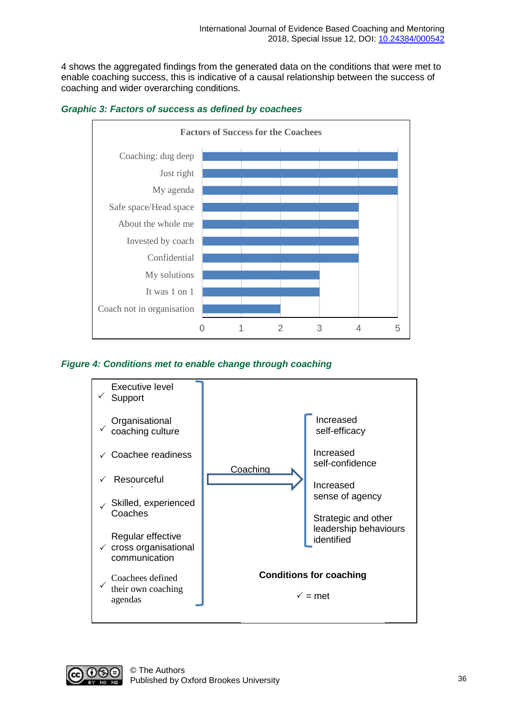4 shows the aggregated findings from the generated data on the conditions that were met to enable coaching success, this is indicative of a causal relationship between the success of coaching and wider overarching conditions.





#### *Figure 4: Conditions met to enable change through coaching*



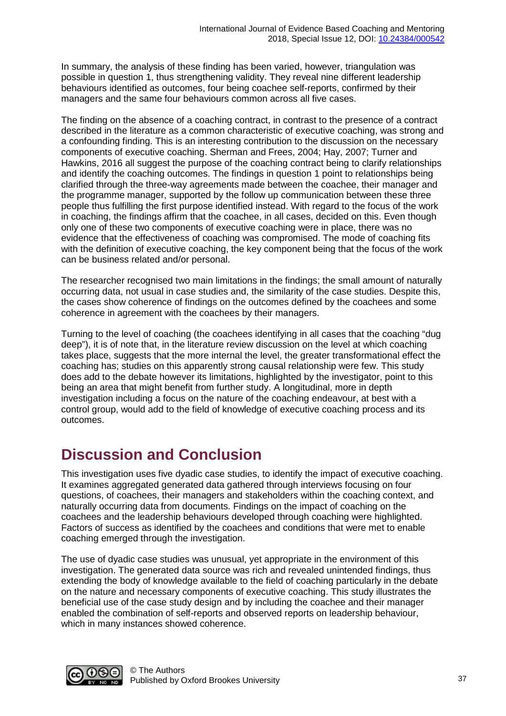In summary, the analysis of these finding has been varied, however, triangulation was possible in question 1, thus strengthening validity. They reveal nine different leadership behaviours identified as outcomes, four being coachee self-reports, confirmed by their managers and the same four behaviours common across all five cases.

The finding on the absence of a coaching contract, in contrast to the presence of a contract described in the literature as a common characteristic of executive coaching, was strong and a confounding finding. This is an interesting contribution to the discussion on the necessary components of executive coaching. Sherman and Frees, 2004; Hay, 2007; Turner and Hawkins, 2016 all suggest the purpose of the coaching contract being to clarify relationships and identify the coaching outcomes. The findings in question 1 point to relationships being clarified through the three-way agreements made between the coachee, their manager and the programme manager, supported by the follow up communication between these three people thus fulfilling the first purpose identified instead. With regard to the focus of the work in coaching, the findings affirm that the coachee, in all cases, decided on this. Even though only one of these two components of executive coaching were in place, there was no evidence that the effectiveness of coaching was compromised. The mode of coaching fits with the definition of executive coaching, the key component being that the focus of the work can be business related and/or personal.

The researcher recognised two main limitations in the findings; the small amount of naturally occurring data, not usual in case studies and, the similarity of the case studies. Despite this, the cases show coherence of findings on the outcomes defined by the coachees and some coherence in agreement with the coachees by their managers.

Turning to the level of coaching (the coachees identifying in all cases that the coaching "dug deep"), it is of note that, in the literature review discussion on the level at which coaching takes place, suggests that the more internal the level, the greater transformational effect the coaching has; studies on this apparently strong causal relationship were few. This study does add to the debate however its limitations, highlighted by the investigator, point to this being an area that might benefit from further study. A longitudinal, more in depth investigation including a focus on the nature of the coaching endeavour, at best with a control group, would add to the field of knowledge of executive coaching process and its outcomes.

### **Discussion and Conclusion**

This investigation uses five dyadic case studies, to identify the impact of executive coaching. It examines aggregated generated data gathered through interviews focusing on four questions, of coachees, their managers and stakeholders within the coaching context, and naturally occurring data from documents. Findings on the impact of coaching on the coachees and the leadership behaviours developed through coaching were highlighted. Factors of success as identified by the coachees and conditions that were met to enable coaching emerged through the investigation.

The use of dyadic case studies was unusual, yet appropriate in the environment of this investigation. The generated data source was rich and revealed unintended findings, thus extending the body of knowledge available to the field of coaching particularly in the debate on the nature and necessary components of executive coaching. This study illustrates the beneficial use of the case study design and by including the coachee and their manager enabled the combination of self-reports and observed reports on leadership behaviour, which in many instances showed coherence.

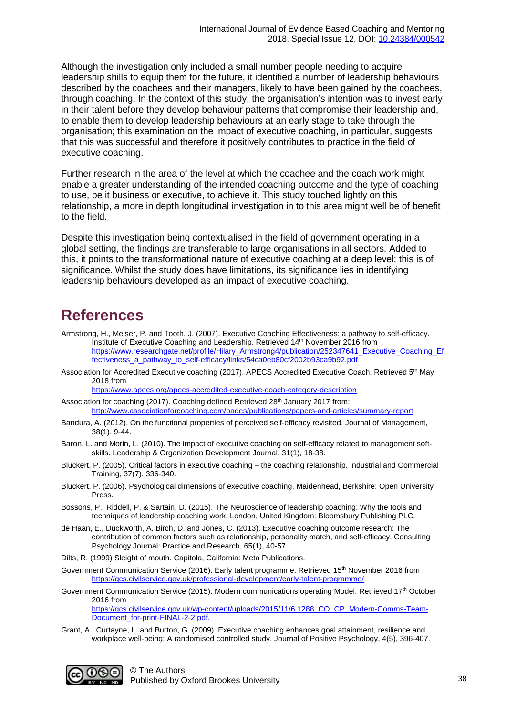Although the investigation only included a small number people needing to acquire leadership shills to equip them for the future, it identified a number of leadership behaviours described by the coachees and their managers, likely to have been gained by the coachees, through coaching. In the context of this study, the organisation's intention was to invest early in their talent before they develop behaviour patterns that compromise their leadership and, to enable them to develop leadership behaviours at an early stage to take through the organisation; this examination on the impact of executive coaching, in particular, suggests that this was successful and therefore it positively contributes to practice in the field of executive coaching.

Further research in the area of the level at which the coachee and the coach work might enable a greater understanding of the intended coaching outcome and the type of coaching to use, be it business or executive, to achieve it. This study touched lightly on this relationship, a more in depth longitudinal investigation in to this area might well be of benefit to the field.

Despite this investigation being contextualised in the field of government operating in a global setting, the findings are transferable to large organisations in all sectors. Added to this, it points to the transformational nature of executive coaching at a deep level; this is of significance. Whilst the study does have limitations, its significance lies in identifying leadership behaviours developed as an impact of executive coaching.

# **References**

- Armstrong, H., Melser, P. and Tooth, J. (2007). Executive Coaching Effectiveness: a pathway to self-efficacy. Institute of Executive Coaching and Leadership. Retrieved 14th November 2016 from https://www.researchgate.net/profile/Hilary\_Armstrong4/publication/252347641\_Executive\_Coaching\_Ef fectiveness\_a\_pathway\_to\_self-efficacy/links/54ca0eb80cf2002b93ca9b92.pdf
- Association for Accredited Executive coaching (2017). APECS Accredited Executive Coach. Retrieved 5<sup>th</sup> May 2018 from

<https://www.apecs.org/apecs-accredited-executive-coach-category-description>

- Association for coaching (2017). Coaching defined Retrieved 28<sup>th</sup> January 2017 from: http://www.associationforcoaching.com/pages/publications/papers-and-articles/summary-report
- Bandura, A. (2012). On the functional properties of perceived self-efficacy revisited. Journal of Management, 38(1), 9-44.
- Baron, L. and Morin, L. (2010). The impact of executive coaching on self‐efficacy related to management soft‐ skills. Leadership & Organization Development Journal, 31(1), 18-38.
- Bluckert, P. (2005). Critical factors in executive coaching the coaching relationship. Industrial and Commercial Training, 37(7), 336-340.
- Bluckert, P. (2006). Psychological dimensions of executive coaching. Maidenhead, Berkshire: Open University Press.
- Bossons, P., Riddell, P. & Sartain, D. (2015). The Neuroscience of leadership coaching: Why the tools and techniques of leadership coaching work. London, United Kingdom: Bloomsbury Publishing PLC.
- de Haan, E., Duckworth, A. Birch, D. and Jones, C. (2013). Executive coaching outcome research: The contribution of common factors such as relationship, personality match, and self-efficacy. Consulting Psychology Journal: Practice and Research, 65(1), 40-57.
- Dilts, R. (1999) Sleight of mouth. Capitola, California: Meta Publications.
- Government Communication Service (2016). Early talent programme. Retrieved 15<sup>th</sup> November 2016 from <https://gcs.civilservice.gov.uk/professional-development/early-talent-programme/>
- Government Communication Service (2015). Modern communications operating Model. Retrieved 17th October 2016 from [https://gcs.civilservice.gov.uk/wp-content/uploads/2015/11/6.1288\\_CO\\_CP\\_Modern-Comms-Team-](https://gcs.civilservice.gov.uk/wp-content/uploads/2015/11/6.1288_CO_CP_Modern-Comms-Team-Document_for-print-FINAL-2-2.pdf)[Document\\_for-print-FINAL-2-2.pdf.](https://gcs.civilservice.gov.uk/wp-content/uploads/2015/11/6.1288_CO_CP_Modern-Comms-Team-Document_for-print-FINAL-2-2.pdf)
- Grant, A., Curtayne, L. and Burton, G. (2009). Executive coaching enhances goal attainment, resilience and workplace well-being: A randomised controlled study. Journal of Positive Psychology, 4(5), 396-407.

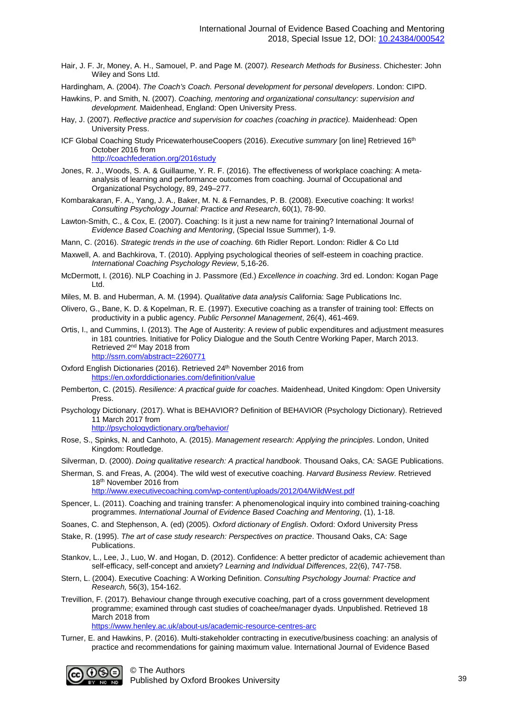Hair, J. F. Jr, Money, A. H., Samouel, P. and Page M. (2007*). Research Methods for Business*. Chichester: John Wiley and Sons Ltd.

Hardingham, A. (2004). *The Coach's Coach. Personal development for personal developers*. London: CIPD.

- Hawkins, P. and Smith, N. (2007). *Coaching, mentoring and organizational consultancy: supervision and development.* Maidenhead, England: Open University Press.
- Hay, J. (2007). *Reflective practice and supervision for coaches (coaching in practice).* Maidenhead: Open University Press.
- ICF Global Coaching Study PricewaterhouseCoopers (2016). *Executive summary* [on line] Retrieved 16th October 2016 from

http://coachfederation.org/2016study

- Jones, R. J., Woods, S. A. & Guillaume, Y. R. F. (2016). The effectiveness of workplace coaching: A metaanalysis of learning and performance outcomes from coaching. Journal of Occupational and Organizational Psychology, 89, 249–277.
- Kombarakaran, F. A., Yang, J. A., Baker, M. N. & Fernandes, P. B. (2008). Executive coaching: It works! *Consulting Psychology Journal: Practice and Research*, 60(1), 78-90.
- Lawton-Smith, C., & Cox, E. (2007). Coaching: Is it just a new name for training? International Journal of *Evidence Based Coaching and Mentoring*, (Special Issue Summer), 1-9.
- Mann, C. (2016). *Strategic trends in the use of coaching*. 6th Ridler Report. London: Ridler & Co Ltd
- Maxwell, A. and Bachkirova, T. (2010). Applying psychological theories of self-esteem in coaching practice. *International Coaching Psychology Review*, 5,16-26.
- McDermott, I. (2016). NLP Coaching in J. Passmore (Ed.) *Excellence in coaching*. 3rd ed. London: Kogan Page Ltd.
- Miles, M. B. and Huberman, A. M. (1994). *Qualitative data analysis* California: Sage Publications Inc.
- Olivero, G., Bane, K. D. & Kopelman, R. E. (1997). Executive coaching as a transfer of training tool: Effects on productivity in a public agency. *Public Personnel Management*, 26(4), 461-469.
- Ortis, I., and Cummins, I. (2013). The Age of Austerity: A review of public expenditures and adjustment measures in 181 countries. Initiative for Policy Dialogue and the South Centre Working Paper, March 2013. Retrieved 2nd May 2018 from <http://ssrn.com/abstract=2260771>
- Oxford English Dictionaries (2016). Retrieved 24<sup>th</sup> November 2016 from https://en.oxforddictionaries.com/definition/value
- Pemberton, C. (2015). *Resilience: A practical guide for coaches*. Maidenhead, United Kingdom: Open University Press.
- Psychology Dictionary. (2017). What is BEHAVIOR? Definition of BEHAVIOR (Psychology Dictionary). Retrieved 11 March 2017 from

http://psychologydictionary.org/behavior/

Rose, S., Spinks, N. and Canhoto, A. (2015). *Management research: Applying the principles*. London, United Kingdom: Routledge.

Silverman, D. (2000). *Doing qualitative research: A practical handbook*. Thousand Oaks, CA: SAGE Publications.

Sherman, S. and Freas, A. (2004). The wild west of executive coaching. *Harvard Business Review*. Retrieved 18th November 2016 from http://www.executivecoaching.com/wp-content/uploads/2012/04/WildWest.pdf

- Spencer, L. (2011). Coaching and training transfer: A phenomenological inquiry into combined training-coaching programmes. *International Journal of Evidence Based Coaching and Mentoring*, (1), 1-18.
- Soanes, C. and Stephenson, A. (ed) (2005). *Oxford dictionary of English*. Oxford: Oxford University Press
- Stake, R. (1995). *The art of case study research: Perspectives on practice*. Thousand Oaks, CA: Sage Publications.
- Stankov, L., Lee, J., Luo, W. and Hogan, D. (2012). Confidence: A better predictor of academic achievement than self-efficacy, self-concept and anxiety? *Learning and Individual Differences*, 22(6), 747-758.
- Stern, L. (2004). Executive Coaching: A Working Definition. *Consulting Psychology Journal: Practice and Research,* 56(3), 154-162.
- Trevillion, F. (2017). Behaviour change through executive coaching, part of a cross government development programme; examined through cast studies of coachee/manager dyads. Unpublished. Retrieved 18 March 2018 from
	- https://www.henley.ac.uk/about-us/academic-resource-centres-arc
- Turner, E. and Hawkins, P. (2016). Multi-stakeholder contracting in executive/business coaching: an analysis of practice and recommendations for gaining maximum value. International Journal of Evidence Based